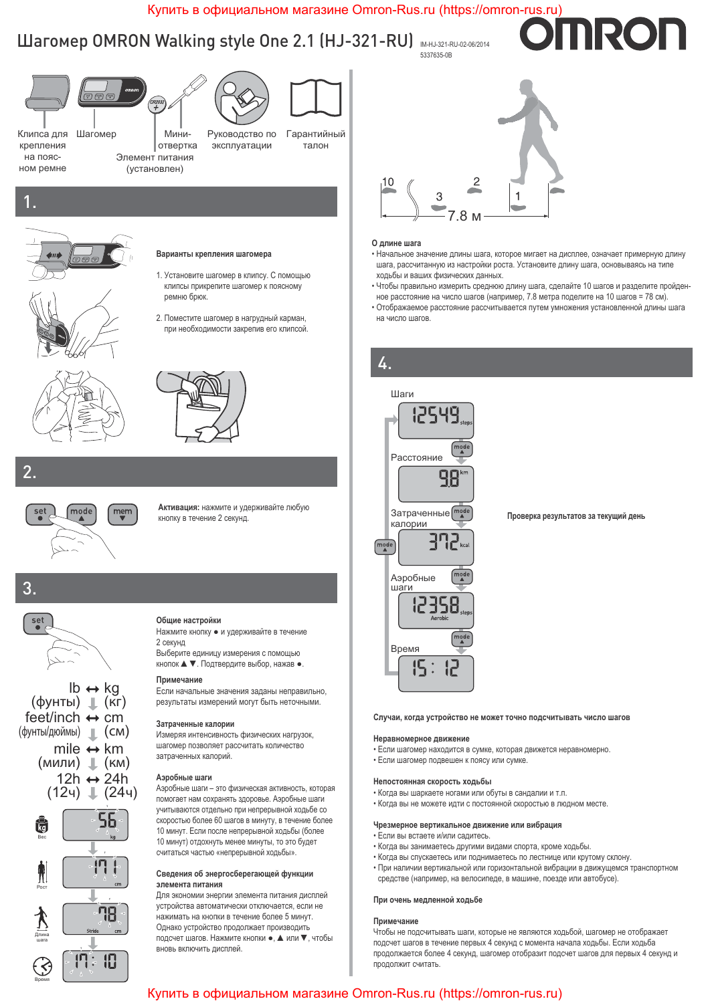## Купить в официальном магазине Omron-Rus.ru (https://omron-rus.ru)

## Шагомер OMRON Walking style One 2.1 (HJ-321-RO) MHJ321-RU-02-06/2014<br>5337635-08 5337635-0B



2.



Активация: нажмите и удерживайте любую кнопку в течение 2 секунд.

## $3.$







#### Общие настройки

Нажмите кнопку • и удерживайте в течение 2 секунд

Выберите единицу измерения с помощью кнопок ▲ ▼. Подтвердите выбор, нажав ●.

#### Примечание

Если начальные значения заданы неправильно, результаты измерений могут быть неточными.

#### Затраченные калории

Измеряя интенсивность физических нагрузок, шагомер позволяет рассчитать количество затраченных калорий.

#### **Аэробные шаги**

Аэробные шаги - это физическая активность, которая помогает нам сохранять здоровье. Аэробные шаги учитываются отдельно при непрерывной ходьбе со скоростью более 60 шагов в минуту, в течение более 10 минут. Если после непрерывной ходьбы (более 10 минут) отдохнуть менее минуты, то это будет считаться частью «непрерывной ходьбы».

#### Сведения об энергосберегающей функции элемента питания

Для экономии энергии элемента питания дисплей устройства автоматически отключается, если не нажимать на кнопки в течение более 5 минут. Однако устройство продолжает производить подсчет шагов. Нажмите кнопки •, ▲ или ▼, чтобы вновь включить дисплей.



#### **О длине шага**

• Начальное значение длины шага, которое мигает на дисплее, означает примерную длину шага, рассчитанную из настройки роста. Установите длину шага, основываясь на типе ходьбы и ваших физических данных.

**NRO** 

- Чтобы правильно измерить среднюю длину шага, сделайте 10 шагов и разделите пройденное расстояние на число шагов (например, 7.8 метра поделите на 10 шагов = 78 см).
- Отображаемое расстояние рассчитывается путем умножения установленной длины шага на число шагов.



Проверка результатов за текущий день

#### Случаи, когда устройство не может точно подсчитывать число шагов

#### Неравномерное движение

- Если шагомер находится в сумке, которая движется неравномерно.
- Если шагомер подвешен к поясу или сумке.

#### Непостоянная скорость ходьбы

- Когда вы шаркаете ногами или обуты в сандалии и т.п.
- Когда вы не можете идти с постоянной скоростью в людном месте.

#### Чрезмерное вертикальное движение или вибрация

- Если вы встаете и/или садитесь.
- Когда вы занимаетесь другими видами спорта, кроме ходьбы.
- Когда вы спускаетесь или поднимаетесь по лестнице или крутому склону.
- При наличии вертикальной или горизонтальной вибрации в движущемся транспортном средстве (например, на велосипеде, в машине, поезде или автобусе).

#### При очень медленной ходьбе

### Примечание

Чтобы не подсчитывать шаги, которые не являются ходьбой, шагомер не отображает подсчет шагов в течение первых 4 секунд с момента начала ходьбы. Если ходьба продолжается более 4 секунд, шагомер отобразит подсчет шагов для первых 4 секунд и продолжит считать

## Купить в официальном магазине Omron-Rus.ru (https://omron-rus.ru)